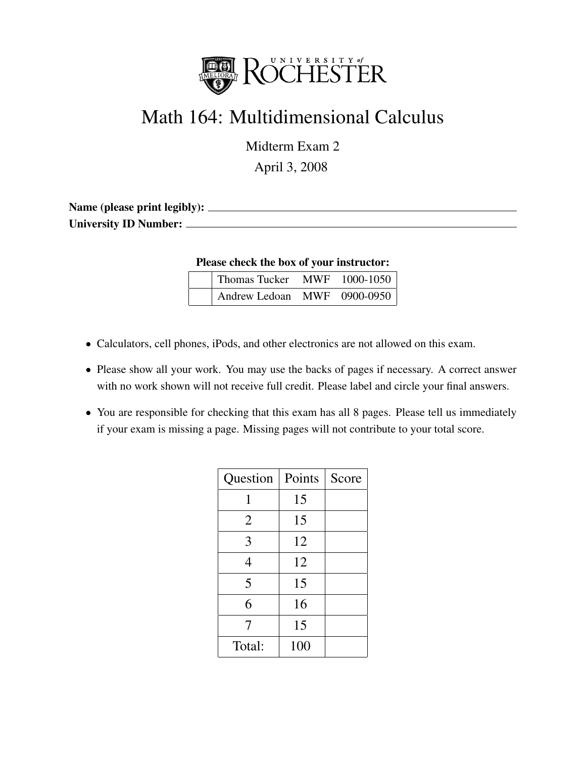

## Math 164: Multidimensional Calculus

Midterm Exam 2

April 3, 2008

| Name (please print legibly): _ |  |
|--------------------------------|--|
| <b>University ID Number:</b>   |  |

Please check the box of your instructor:

| Thomas Tucker               | MWF 1000-1050 |
|-----------------------------|---------------|
| Andrew Ledoan MWF 0900-0950 |               |

- Calculators, cell phones, iPods, and other electronics are not allowed on this exam.
- Please show all your work. You may use the backs of pages if necessary. A correct answer with no work shown will not receive full credit. Please label and circle your final answers.
- You are responsible for checking that this exam has all 8 pages. Please tell us immediately if your exam is missing a page. Missing pages will not contribute to your total score.

| Question       | Points | Score |
|----------------|--------|-------|
|                | 15     |       |
| $\overline{2}$ | 15     |       |
| 3              | 12     |       |
| 4              | 12     |       |
| 5              | 15     |       |
| 6              | 16     |       |
| 7              | 15     |       |
| Total:         | 100    |       |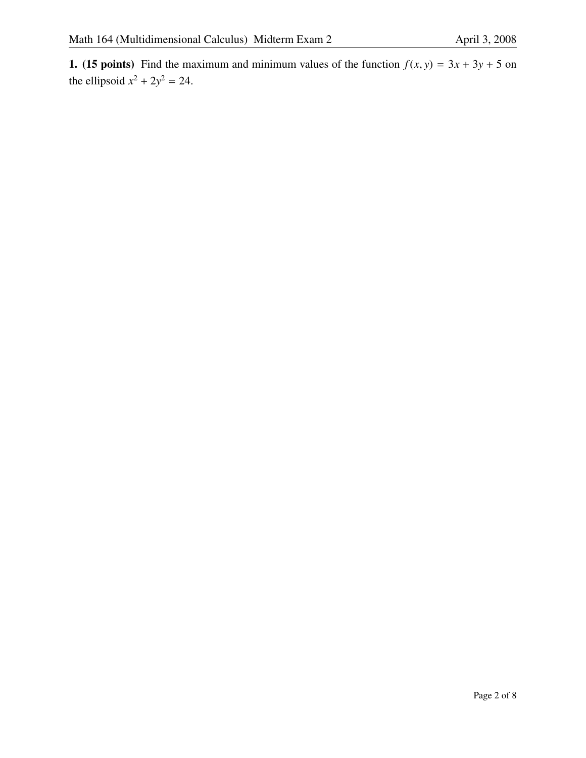1. (15 points) Find the maximum and minimum values of the function  $f(x, y) = 3x + 3y + 5$  on the ellipsoid  $x^2 + 2y^2 = 24$ .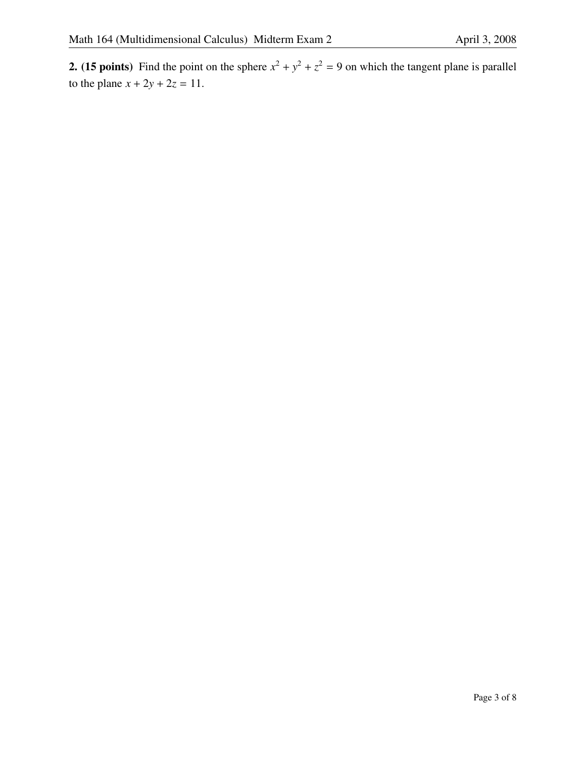**2.** (15 points) Find the point on the sphere  $x^2 + y^2 + z^2 = 9$  on which the tangent plane is parallel to the plane  $x + 2y + 2z = 11$ .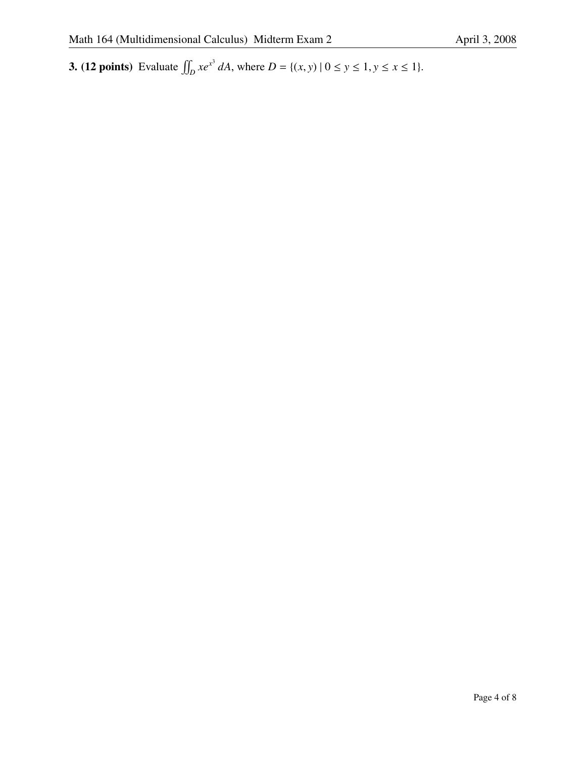**3.** (12 points) Evaluate  $\iint_D xe^{x^3} dA$ , where  $D = \{(x, y) | 0 \le y \le 1, y \le x \le 1\}.$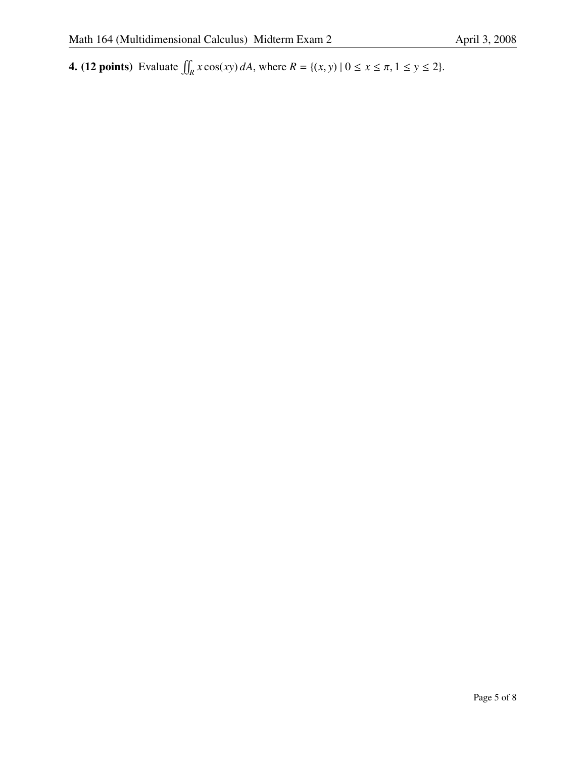**4.** (12 points) Evaluate  $\iint_R x \cos(xy) dA$ , where  $R = \{(x, y) | 0 \le x \le \pi, 1 \le y \le 2\}$ .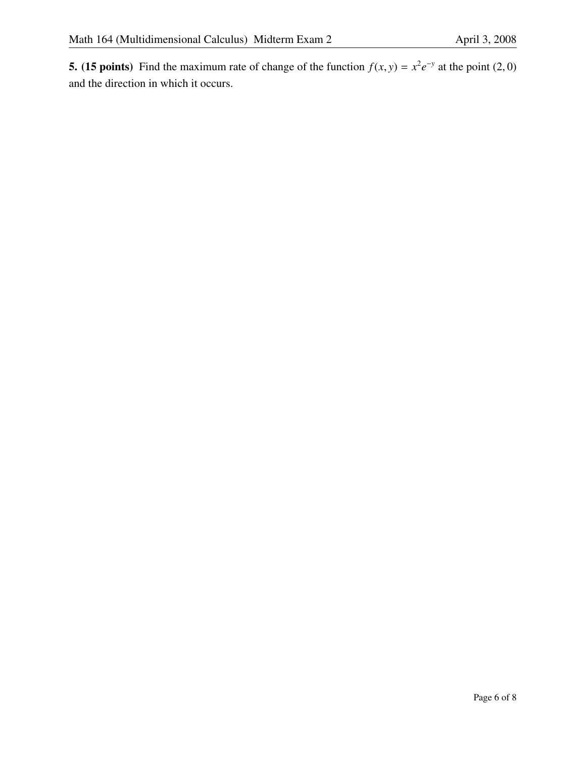**5.** (15 points) Find the maximum rate of change of the function  $f(x, y) = x^2 e^{-y}$  at the point (2, 0) and the direction in which it occurs.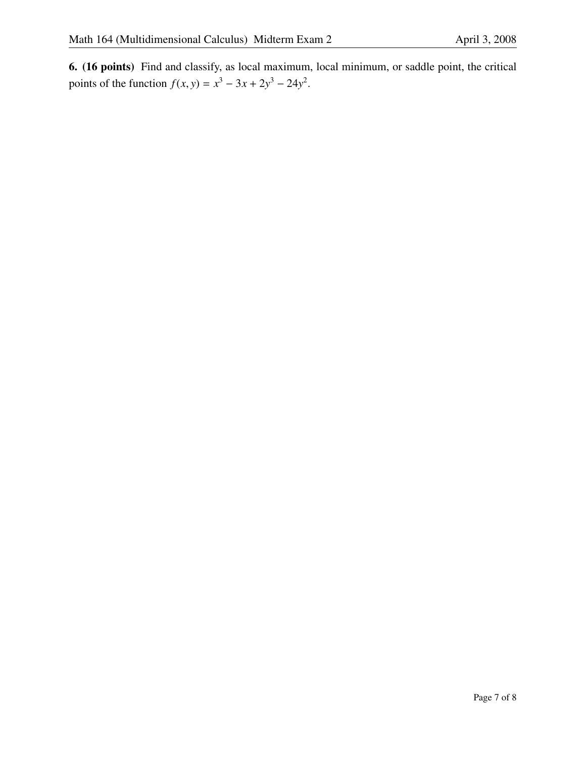6. (16 points) Find and classify, as local maximum, local minimum, or saddle point, the critical points of the function  $f(x, y) = x^3 - 3x + 2y^3 - 24y^2$ .